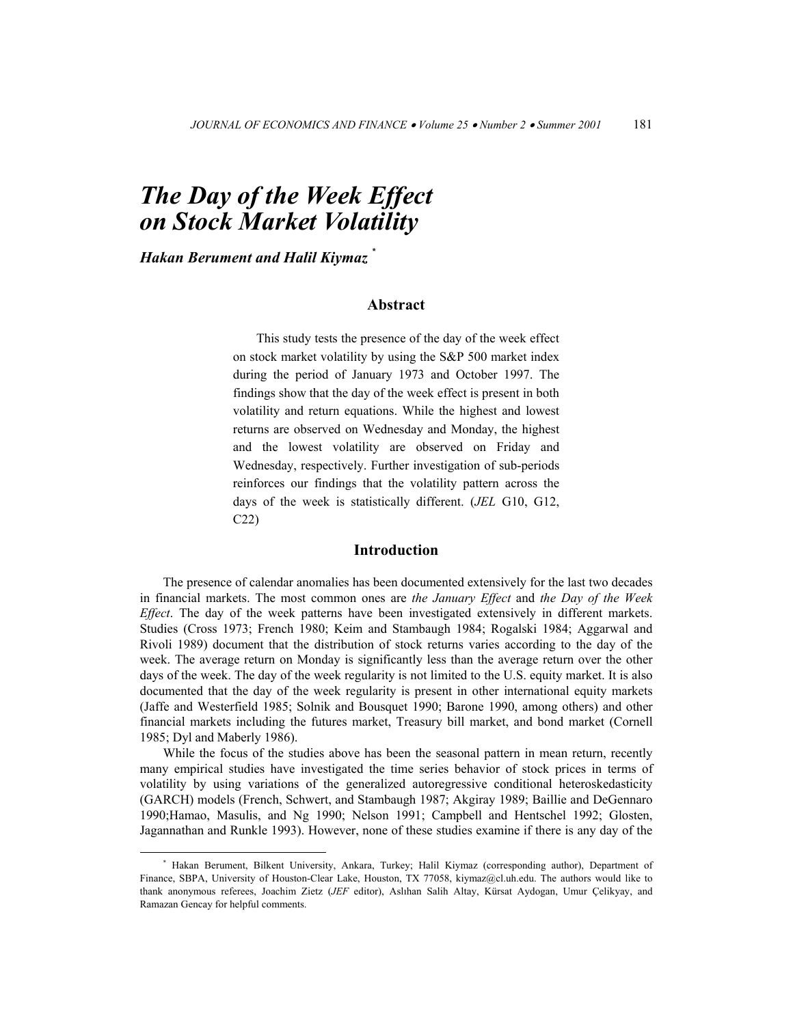# *The Day of the Week Effect on Stock Market Volatility*

*Hakan Berument and Halil Kiymaz* \*

# **Abstract**

This study tests the presence of the day of the week effect on stock market volatility by using the S&P 500 market index during the period of January 1973 and October 1997. The findings show that the day of the week effect is present in both volatility and return equations. While the highest and lowest returns are observed on Wednesday and Monday, the highest and the lowest volatility are observed on Friday and Wednesday, respectively. Further investigation of sub-periods reinforces our findings that the volatility pattern across the days of the week is statistically different. (*JEL* G10, G12, C22)

#### **Introduction**

The presence of calendar anomalies has been documented extensively for the last two decades in financial markets. The most common ones are *the January Effect* and *the Day of the Week Effect*. The day of the week patterns have been investigated extensively in different markets. Studies (Cross 1973; French 1980; Keim and Stambaugh 1984; Rogalski 1984; Aggarwal and Rivoli 1989) document that the distribution of stock returns varies according to the day of the week. The average return on Monday is significantly less than the average return over the other days of the week. The day of the week regularity is not limited to the U.S. equity market. It is also documented that the day of the week regularity is present in other international equity markets (Jaffe and Westerfield 1985; Solnik and Bousquet 1990; Barone 1990, among others) and other financial markets including the futures market, Treasury bill market, and bond market (Cornell 1985; Dyl and Maberly 1986).

While the focus of the studies above has been the seasonal pattern in mean return, recently many empirical studies have investigated the time series behavior of stock prices in terms of volatility by using variations of the generalized autoregressive conditional heteroskedasticity (GARCH) models (French, Schwert, and Stambaugh 1987; Akgiray 1989; Baillie and DeGennaro 1990;Hamao, Masulis, and Ng 1990; Nelson 1991; Campbell and Hentschel 1992; Glosten, Jagannathan and Runkle 1993). However, none of these studies examine if there is any day of the

 <sup>\*</sup> Hakan Berument, Bilkent University, Ankara, Turkey; Halil Kiymaz (corresponding author), Department of Finance, SBPA, University of Houston-Clear Lake, Houston, TX 77058, kiymaz@cl.uh.edu. The authors would like to thank anonymous referees, Joachim Zietz (*JEF* editor), Aslıhan Salih Altay, Kürsat Aydogan, Umur Çelikyay, and Ramazan Gencay for helpful comments.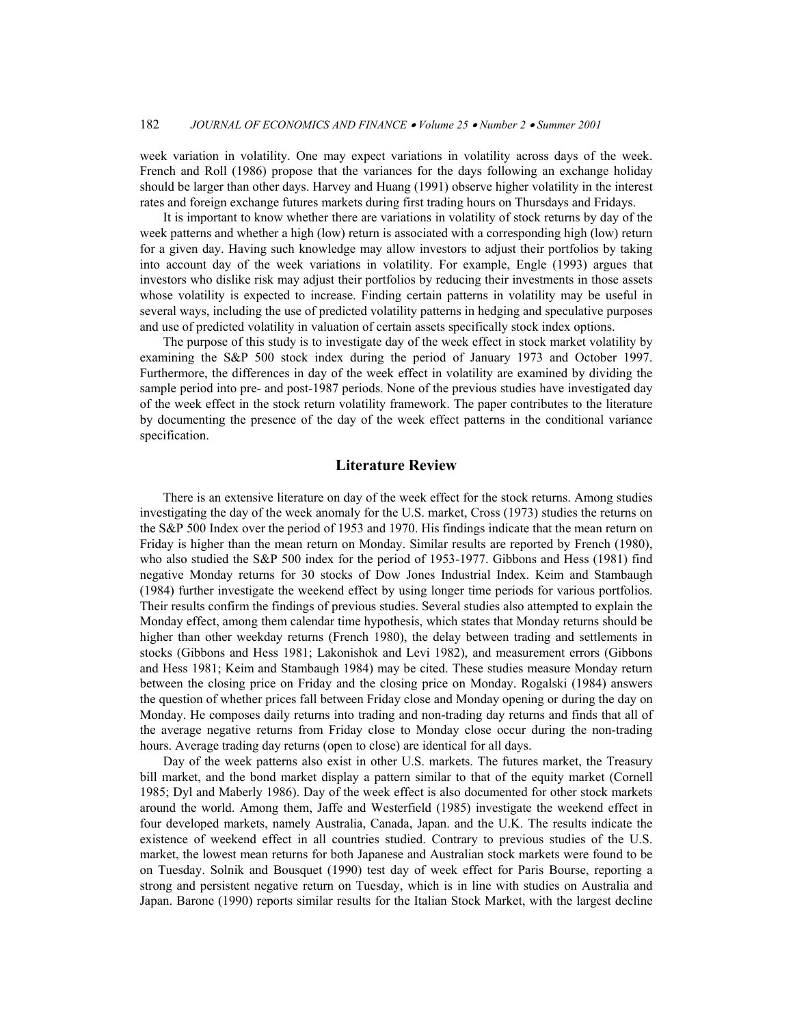week variation in volatility. One may expect variations in volatility across days of the week. French and Roll (1986) propose that the variances for the days following an exchange holiday should be larger than other days. Harvey and Huang (1991) observe higher volatility in the interest rates and foreign exchange futures markets during first trading hours on Thursdays and Fridays.

It is important to know whether there are variations in volatility of stock returns by day of the week patterns and whether a high (low) return is associated with a corresponding high (low) return for a given day. Having such knowledge may allow investors to adjust their portfolios by taking into account day of the week variations in volatility. For example, Engle (1993) argues that investors who dislike risk may adjust their portfolios by reducing their investments in those assets whose volatility is expected to increase. Finding certain patterns in volatility may be useful in several ways, including the use of predicted volatility patterns in hedging and speculative purposes and use of predicted volatility in valuation of certain assets specifically stock index options.

The purpose of this study is to investigate day of the week effect in stock market volatility by examining the S&P 500 stock index during the period of January 1973 and October 1997. Furthermore, the differences in day of the week effect in volatility are examined by dividing the sample period into pre- and post-1987 periods. None of the previous studies have investigated day of the week effect in the stock return volatility framework. The paper contributes to the literature by documenting the presence of the day of the week effect patterns in the conditional variance specification.

## **Literature Review**

There is an extensive literature on day of the week effect for the stock returns. Among studies investigating the day of the week anomaly for the U.S. market, Cross (1973) studies the returns on the S&P 500 Index over the period of 1953 and 1970. His findings indicate that the mean return on Friday is higher than the mean return on Monday. Similar results are reported by French (1980), who also studied the S&P 500 index for the period of 1953-1977. Gibbons and Hess (1981) find negative Monday returns for 30 stocks of Dow Jones Industrial Index. Keim and Stambaugh (1984) further investigate the weekend effect by using longer time periods for various portfolios. Their results confirm the findings of previous studies. Several studies also attempted to explain the Monday effect, among them calendar time hypothesis, which states that Monday returns should be higher than other weekday returns (French 1980), the delay between trading and settlements in stocks (Gibbons and Hess 1981; Lakonishok and Levi 1982), and measurement errors (Gibbons and Hess 1981; Keim and Stambaugh 1984) may be cited. These studies measure Monday return between the closing price on Friday and the closing price on Monday. Rogalski (1984) answers the question of whether prices fall between Friday close and Monday opening or during the day on Monday. He composes daily returns into trading and non-trading day returns and finds that all of the average negative returns from Friday close to Monday close occur during the non-trading hours. Average trading day returns (open to close) are identical for all days.

Day of the week patterns also exist in other U.S. markets. The futures market, the Treasury bill market, and the bond market display a pattern similar to that of the equity market (Cornell 1985; Dyl and Maberly 1986). Day of the week effect is also documented for other stock markets around the world. Among them, Jaffe and Westerfield (1985) investigate the weekend effect in four developed markets, namely Australia, Canada, Japan. and the U.K. The results indicate the existence of weekend effect in all countries studied. Contrary to previous studies of the U.S. market, the lowest mean returns for both Japanese and Australian stock markets were found to be on Tuesday. Solnik and Bousquet (1990) test day of week effect for Paris Bourse, reporting a strong and persistent negative return on Tuesday, which is in line with studies on Australia and Japan. Barone (1990) reports similar results for the Italian Stock Market, with the largest decline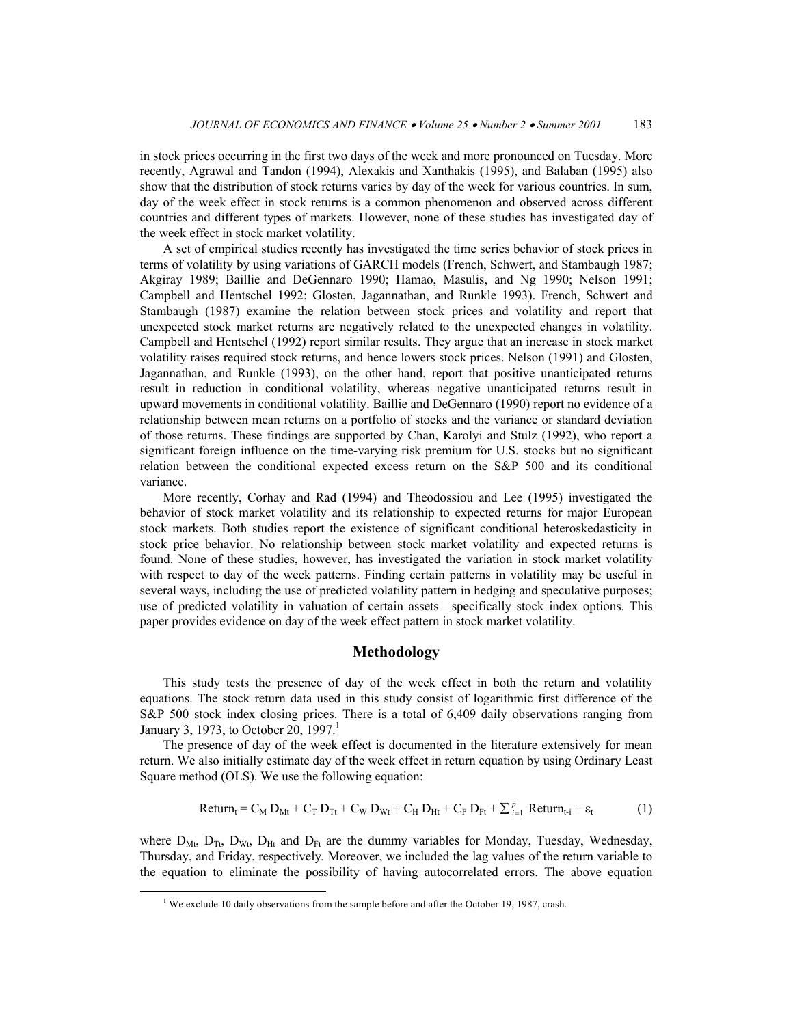in stock prices occurring in the first two days of the week and more pronounced on Tuesday. More recently, Agrawal and Tandon (1994), Alexakis and Xanthakis (1995), and Balaban (1995) also show that the distribution of stock returns varies by day of the week for various countries. In sum, day of the week effect in stock returns is a common phenomenon and observed across different countries and different types of markets. However, none of these studies has investigated day of the week effect in stock market volatility.

A set of empirical studies recently has investigated the time series behavior of stock prices in terms of volatility by using variations of GARCH models (French, Schwert, and Stambaugh 1987; Akgiray 1989; Baillie and DeGennaro 1990; Hamao, Masulis, and Ng 1990; Nelson 1991; Campbell and Hentschel 1992; Glosten, Jagannathan, and Runkle 1993). French, Schwert and Stambaugh (1987) examine the relation between stock prices and volatility and report that unexpected stock market returns are negatively related to the unexpected changes in volatility. Campbell and Hentschel (1992) report similar results. They argue that an increase in stock market volatility raises required stock returns, and hence lowers stock prices. Nelson (1991) and Glosten, Jagannathan, and Runkle (1993), on the other hand, report that positive unanticipated returns result in reduction in conditional volatility, whereas negative unanticipated returns result in upward movements in conditional volatility. Baillie and DeGennaro (1990) report no evidence of a relationship between mean returns on a portfolio of stocks and the variance or standard deviation of those returns. These findings are supported by Chan, Karolyi and Stulz (1992), who report a significant foreign influence on the time-varying risk premium for U.S. stocks but no significant relation between the conditional expected excess return on the S&P 500 and its conditional variance.

More recently, Corhay and Rad (1994) and Theodossiou and Lee (1995) investigated the behavior of stock market volatility and its relationship to expected returns for major European stock markets. Both studies report the existence of significant conditional heteroskedasticity in stock price behavior. No relationship between stock market volatility and expected returns is found. None of these studies, however, has investigated the variation in stock market volatility with respect to day of the week patterns. Finding certain patterns in volatility may be useful in several ways, including the use of predicted volatility pattern in hedging and speculative purposes; use of predicted volatility in valuation of certain assets—specifically stock index options. This paper provides evidence on day of the week effect pattern in stock market volatility.

## **Methodology**

This study tests the presence of day of the week effect in both the return and volatility equations. The stock return data used in this study consist of logarithmic first difference of the S&P 500 stock index closing prices. There is a total of 6,409 daily observations ranging from January 3, 1973, to October 20, 1997.<sup>1</sup>

The presence of day of the week effect is documented in the literature extensively for mean return. We also initially estimate day of the week effect in return equation by using Ordinary Least Square method (OLS). We use the following equation:

$$
Return_t = C_M D_{Mt} + C_T D_{Tt} + C_W D_{Wt} + C_H D_{Ht} + C_F D_{Ft} + \sum_{i=1}^{p} Return_{t-i} + \varepsilon_t
$$
 (1)

where  $D_{Mt}$ ,  $D_{Tt}$ ,  $D_{Wt}$ ,  $D_{Ht}$  and  $D_{Ft}$  are the dummy variables for Monday, Tuesday, Wednesday, Thursday, and Friday, respectively*.* Moreover, we included the lag values of the return variable to the equation to eliminate the possibility of having autocorrelated errors. The above equation

 $\overline{\phantom{a}}$ <sup>1</sup> We exclude 10 daily observations from the sample before and after the October 19, 1987, crash.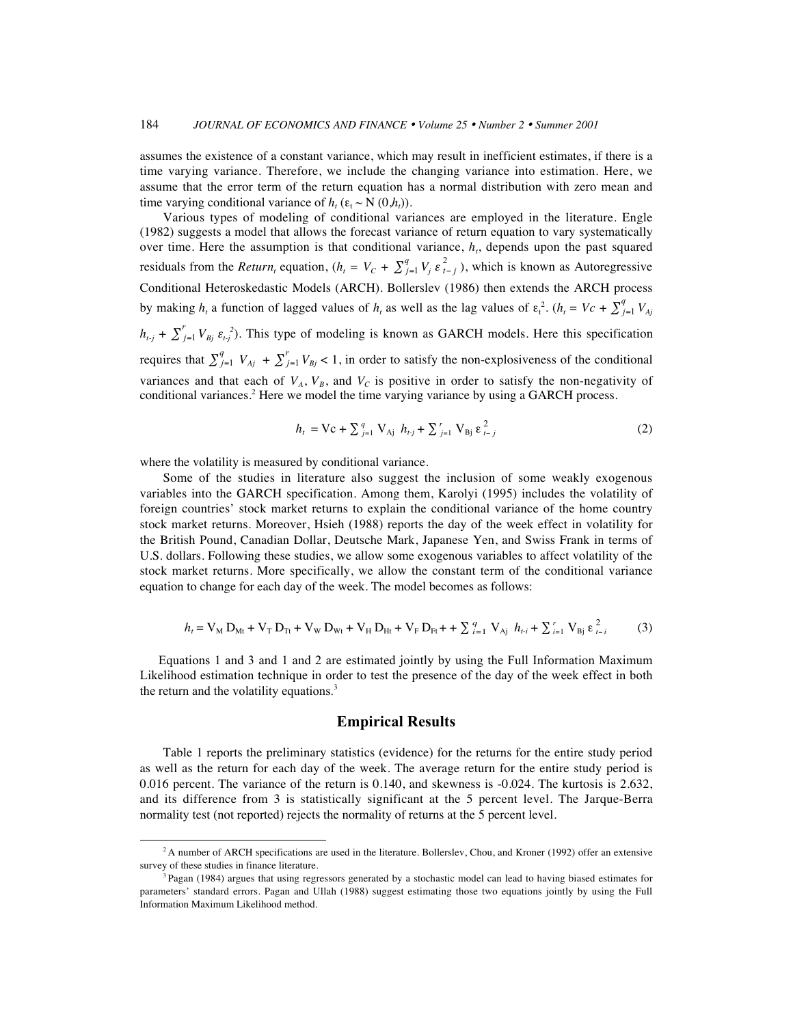assumes the existence of a constant variance, which may result in inefficient estimates, if there is a time varying variance. Therefore, we include the changing variance into estimation. Here, we assume that the error term of the return equation has a normal distribution with zero mean and time varying conditional variance of  $h_t$  ( $\varepsilon_t \sim N(0,h_t)$ ).

Various types of modeling of conditional variances are employed in the literature. Engle (1982) suggests a model that allows the forecast variance of return equation to vary systematically over time. Here the assumption is that conditional variance,  $h<sub>t</sub>$ , depends upon the past squared residuals from the *Return<sub>t</sub>* equation,  $(h_t = V_C + \sum_{j=1}^q V_j \epsilon_{t-j}^2)$ , which is known as Autoregressive Conditional Heteroskedastic Models (ARCH). Bollerslev (1986) then extends the ARCH process by making  $h_t$  a function of lagged values of  $h_t$  as well as the lag values of  $\varepsilon_t^2$ .  $(h_t = Vc + \sum_{j=1}^q V_{A_j})$  $h_{t,j} + \sum_{j=1}^{r} V_{Bj} \varepsilon_{t,j}^2$ ). This type of modeling is known as GARCH models. Here this specification requires that  $\sum_{j=1}^{q} V_{Aj} + \sum_{j=1}^{r} V_{Bj} < 1$ , in order to satisfy the non-explosiveness of the conditional variances and that each of  $V_A$ ,  $V_B$ , and  $V_C$  is positive in order to satisfy the non-negativity of conditional variances.<sup>2</sup> Here we model the time varying variance by using a GARCH process.

$$
h_{t} = \text{Vc} + \sum_{j=1}^{q} \text{V}_{\text{Aj}} h_{t,j} + \sum_{j=1}^{r} \text{V}_{\text{Bj}} \varepsilon_{t-j}^{2}
$$
 (2)

where the volatility is measured by conditional variance.

Some of the studies in literature also suggest the inclusion of some weakly exogenous variables into the GARCH specification. Among them, Karolyi (1995) includes the volatility of foreign countries' stock market returns to explain the conditional variance of the home country stock market returns. Moreover, Hsieh (1988) reports the day of the week effect in volatility for the British Pound, Canadian Dollar, Deutsche Mark, Japanese Yen, and Swiss Frank in terms of U.S. dollars. Following these studies, we allow some exogenous variables to affect volatility of the stock market returns. More specifically, we allow the constant term of the conditional variance equation to change for each day of the week. The model becomes as follows:

$$
h_{t} = V_{M} D_{Mt} + V_{T} D_{Tt} + V_{W} D_{Wt} + V_{H} D_{Ht} + V_{F} D_{Pt} + \sum_{i=1}^{q} V_{Aj} h_{t-i} + \sum_{i=1}^{r} V_{Bj} \varepsilon_{t-i}^{2}
$$
 (3)

Equations 1 and 3 and 1 and 2 are estimated jointly by using the Full Information Maximum Likelihood estimation technique in order to test the presence of the day of the week effect in both the return and the volatility equations. $3$ 

#### **Empirical Results**

Table 1 reports the preliminary statistics (evidence) for the returns for the entire study period as well as the return for each day of the week. The average return for the entire study period is 0.016 percent. The variance of the return is 0.140, and skewness is -0.024. The kurtosis is 2.632, and its difference from 3 is statistically significant at the 5 percent level. The Jarque-Berra normality test (not reported) rejects the normality of returns at the 5 percent level.

<sup>&</sup>lt;sup>2</sup> A number of ARCH specifications are used in the literature. Bollerslev, Chou, and Kroner (1992) offer an extensive survey of these studies in finance literature.

<sup>&</sup>lt;sup>3</sup> Pagan (1984) argues that using regressors generated by a stochastic model can lead to having biased estimates for parameters' standard errors. Pagan and Ullah (1988) suggest estimating those two equations jointly by using the Full Information Maximum Likelihood method.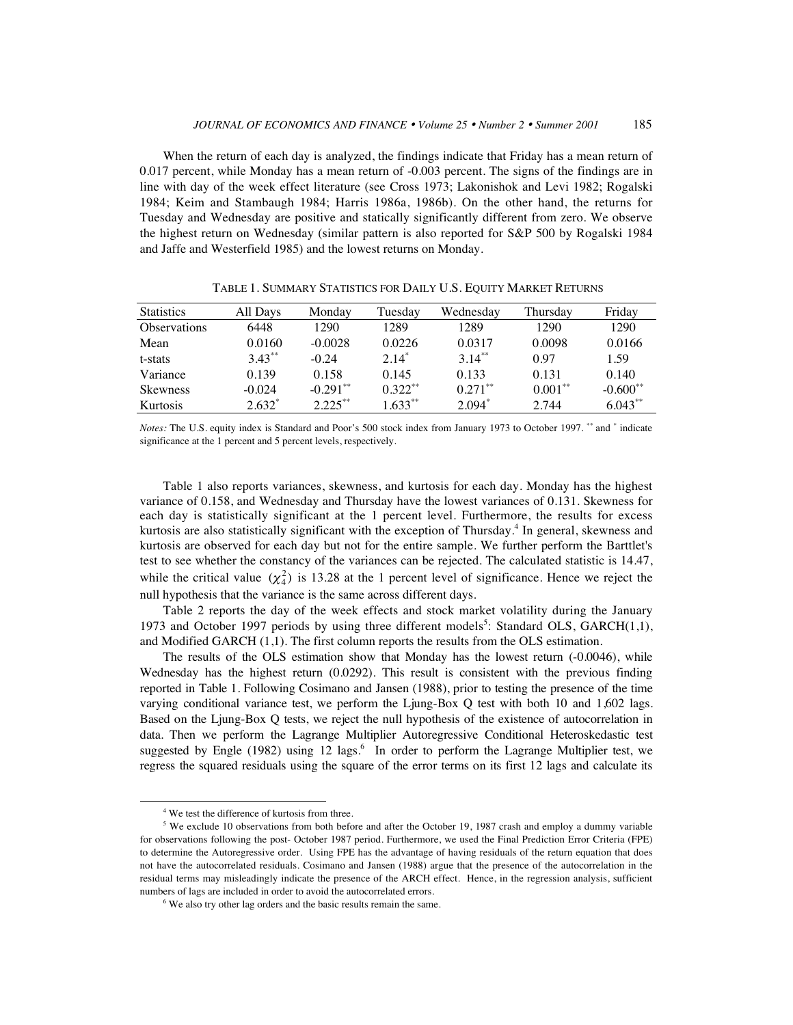When the return of each day is analyzed, the findings indicate that Friday has a mean return of 0.017 percent, while Monday has a mean return of -0.003 percent. The signs of the findings are in line with day of the week effect literature (see Cross 1973; Lakonishok and Levi 1982; Rogalski 1984; Keim and Stambaugh 1984; Harris 1986a, 1986b). On the other hand, the returns for Tuesday and Wednesday are positive and statically significantly different from zero. We observe the highest return on Wednesday (similar pattern is also reported for S&P 500 by Rogalski 1984 and Jaffe and Westerfield 1985) and the lowest returns on Monday.

| <b>Statistics</b>   | All Days  | Monday                 | Tuesday   | Wednesdav  | Thursdav   | Friday     |
|---------------------|-----------|------------------------|-----------|------------|------------|------------|
| <b>Observations</b> | 6448      | 1290                   | 1289      | 1289       | 1290       | 1290       |
| Mean                | 0.0160    | $-0.0028$              | 0.0226    | 0.0317     | 0.0098     | 0.0166     |
| t-stats             | $3.43***$ | $-0.24$                | $2.14*$   | $3.14***$  | 0.97       | 1.59       |
| Variance            | 0.139     | 0.158                  | 0.145     | 0.133      | 0.131      | 0.140      |
| <b>Skewness</b>     | $-0.024$  | $-0.291$ <sup>**</sup> | $0.322**$ | $0.271***$ | $0.001***$ | $-0.600**$ |
| Kurtosis            | $2.632*$  | $2.225***$             | $1.633**$ | $2.094*$   | 2.744      | $6.043**$  |

TABLE 1. SUMMARY STATISTICS FOR DAILY U.S. EQUITY MARKET RETURNS

*Notes:* The U.S. equity index is Standard and Poor's 500 stock index from January 1973 to October 1997. \*\* and \* indicate significance at the 1 percent and 5 percent levels, respectively.

Table 1 also reports variances, skewness, and kurtosis for each day. Monday has the highest variance of 0.158, and Wednesday and Thursday have the lowest variances of 0.131. Skewness for each day is statistically significant at the 1 percent level. Furthermore, the results for excess kurtosis are also statistically significant with the exception of Thursday.<sup>4</sup> In general, skewness and kurtosis are observed for each day but not for the entire sample. We further perform the Barttlet's test to see whether the constancy of the variances can be rejected. The calculated statistic is 14.47, while the critical value  $(\chi_4^2)$  is 13.28 at the 1 percent level of significance. Hence we reject the null hypothesis that the variance is the same across different days.

Table 2 reports the day of the week effects and stock market volatility during the January 1973 and October 1997 periods by using three different models<sup>5</sup>: Standard OLS, GARCH $(1,1)$ , and Modified GARCH (1,1). The first column reports the results from the OLS estimation.

The results of the OLS estimation show that Monday has the lowest return (-0.0046), while Wednesday has the highest return (0.0292). This result is consistent with the previous finding reported in Table 1. Following Cosimano and Jansen (1988), prior to testing the presence of the time varying conditional variance test, we perform the Ljung-Box Q test with both 10 and 1,602 lags. Based on the Ljung-Box Q tests, we reject the null hypothesis of the existence of autocorrelation in data. Then we perform the Lagrange Multiplier Autoregressive Conditional Heteroskedastic test suggested by Engle (1982) using 12 lags.<sup>6</sup> In order to perform the Lagrange Multiplier test, we regress the squared residuals using the square of the error terms on its first 12 lags and calculate its

 $\overline{4}$ 

<sup>&</sup>lt;sup>4</sup> We test the difference of kurtosis from three.

<sup>&</sup>lt;sup>5</sup> We exclude 10 observations from both before and after the October 19, 1987 crash and employ a dummy variable for observations following the post- October 1987 period. Furthermore, we used the Final Prediction Error Criteria (FPE) to determine the Autoregressive order. Using FPE has the advantage of having residuals of the return equation that does not have the autocorrelated residuals. Cosimano and Jansen (1988) argue that the presence of the autocorrelation in the residual terms may misleadingly indicate the presence of the ARCH effect. Hence, in the regression analysis, sufficient numbers of lags are included in order to avoid the autocorrelated errors.

<sup>&</sup>lt;sup>6</sup> We also try other lag orders and the basic results remain the same.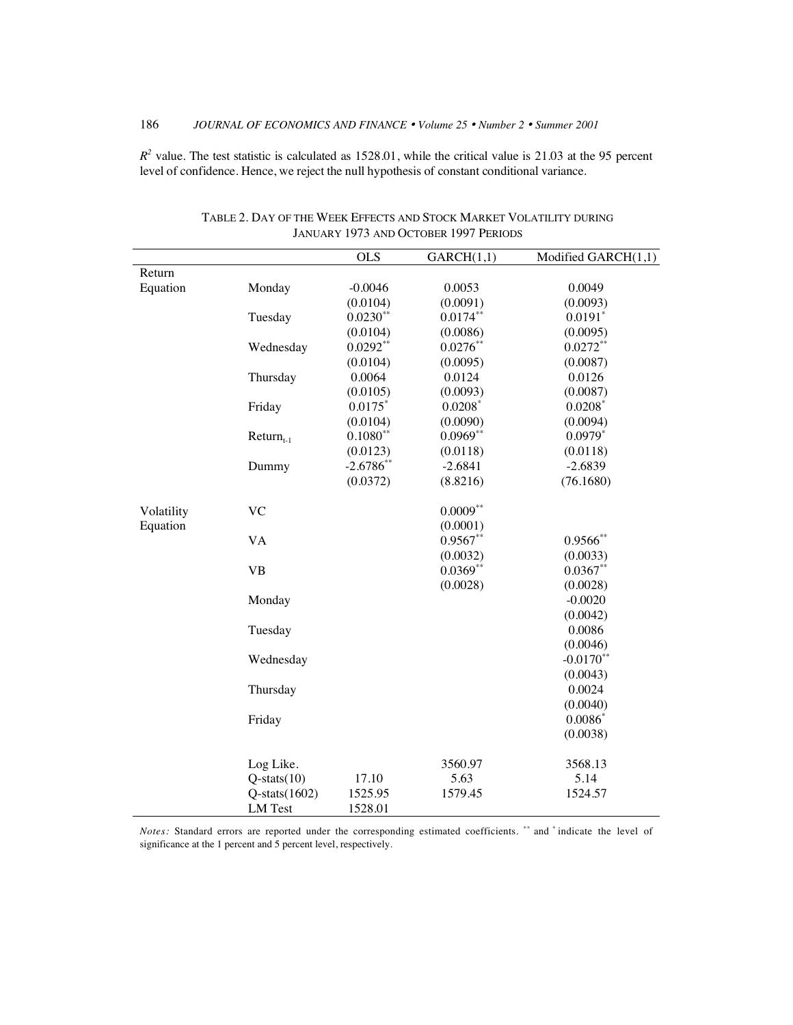$R^2$  value. The test statistic is calculated as 1528.01, while the critical value is 21.03 at the 95 percent level of confidence. Hence, we reject the null hypothesis of constant conditional variance.

|            |                     | <b>OLS</b>     | GARCH(1,1)            | Modified GARCH(1,1)   |
|------------|---------------------|----------------|-----------------------|-----------------------|
| Return     |                     |                |                       |                       |
| Equation   | Monday              | $-0.0046$      | 0.0053                | 0.0049                |
|            |                     | (0.0104)       | (0.0091)              | (0.0093)              |
|            | Tuesday             | $0.0230**$     | $0.0174**$            | $0.0191$ <sup>*</sup> |
|            |                     | (0.0104)       | (0.0086)              | (0.0095)              |
|            | Wednesday           | $0.0292**$     | $0.0276**$            | $0.0272**$            |
|            |                     | (0.0104)       | (0.0095)              | (0.0087)              |
|            | Thursday            | 0.0064         | 0.0124                | 0.0126                |
|            |                     | (0.0105)       | (0.0093)              | (0.0087)              |
|            | Friday              | $0.0175$ *     | $0.0208$ <sup>*</sup> | $0.0208*$             |
|            |                     | (0.0104)       | (0.0090)              | (0.0094)              |
|            | $Return_{t-1}$      | $0.1080**$     | $0.0969**$            | $0.0979*$             |
|            |                     | (0.0123)       | (0.0118)              | (0.0118)              |
|            | Dummy               | $-2.6786^{**}$ | $-2.6841$             | $-2.6839$             |
|            |                     | (0.0372)       | (8.8216)              | (76.1680)             |
| Volatility | <b>VC</b>           |                | $0.0009**$            |                       |
| Equation   |                     |                | (0.0001)              |                       |
|            | <b>VA</b>           |                | $0.9567**$            | $0.9566$ **           |
|            |                     |                | (0.0032)              | (0.0033)              |
|            | <b>VB</b>           |                | $0.0369**$            | $0.0367**$            |
|            |                     |                | (0.0028)              | (0.0028)              |
|            | Monday              |                |                       | $-0.0020$             |
|            |                     |                |                       | (0.0042)              |
|            | Tuesday             |                |                       | 0.0086                |
|            |                     |                |                       | (0.0046)              |
|            | Wednesday           |                |                       | $-0.0170**$           |
|            |                     |                |                       | (0.0043)              |
|            | Thursday            |                |                       | 0.0024                |
|            |                     |                |                       | (0.0040)              |
|            | Friday              |                |                       | $0.0086*$             |
|            |                     |                |                       | (0.0038)              |
|            | Log Like.           |                | 3560.97               | 3568.13               |
|            | $Q$ -stats $(10)$   | 17.10          | 5.63                  | 5.14                  |
|            | $Q$ -stats $(1602)$ | 1525.95        | 1579.45               | 1524.57               |
|            | <b>LM</b> Test      | 1528.01        |                       |                       |

TABLE 2. DAY OF THE WEEK EFFECTS AND STOCK MARKET VOLATILITY DURING JANUARY 1973 AND OCTOBER 1997 PERIODS

*Notes:* Standard errors are reported under the corresponding estimated coefficients. \*\* and \* indicate the level of significance at the 1 percent and 5 percent level, respectively.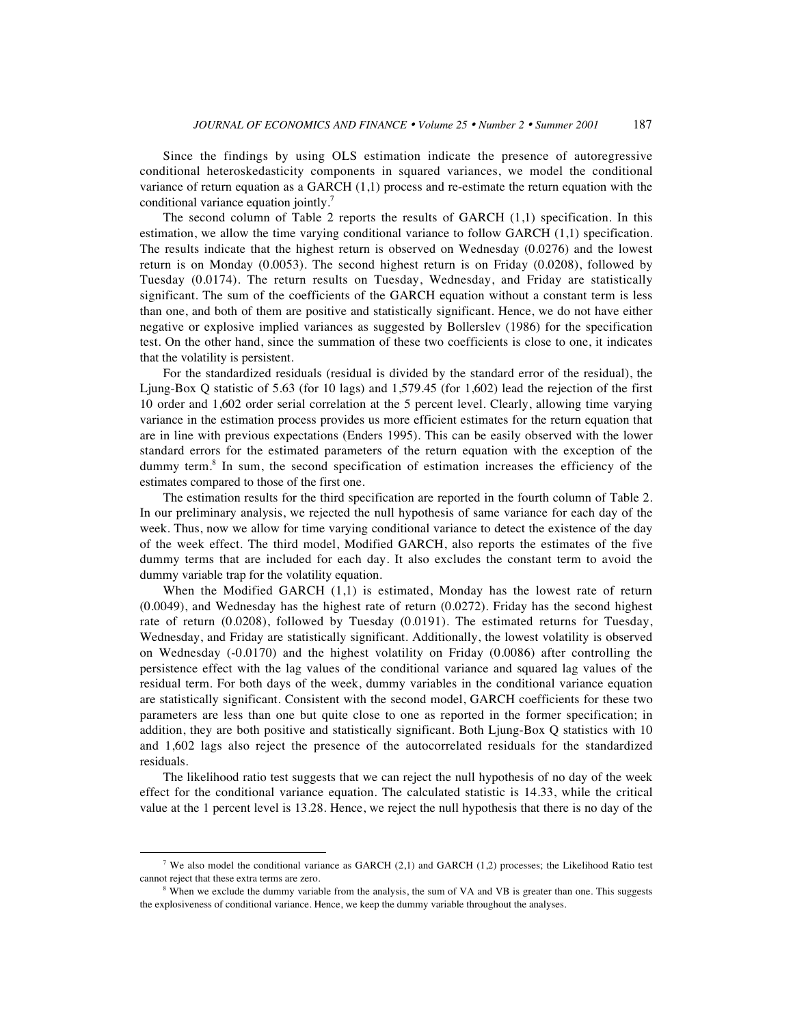Since the findings by using OLS estimation indicate the presence of autoregressive conditional heteroskedasticity components in squared variances, we model the conditional variance of return equation as a GARCH (1,1) process and re-estimate the return equation with the conditional variance equation jointly.<sup>7</sup>

The second column of Table 2 reports the results of GARCH (1,1) specification. In this estimation, we allow the time varying conditional variance to follow GARCH (1,1) specification. The results indicate that the highest return is observed on Wednesday (0.0276) and the lowest return is on Monday (0.0053). The second highest return is on Friday (0.0208), followed by Tuesday (0.0174). The return results on Tuesday, Wednesday, and Friday are statistically significant. The sum of the coefficients of the GARCH equation without a constant term is less than one, and both of them are positive and statistically significant. Hence, we do not have either negative or explosive implied variances as suggested by Bollerslev (1986) for the specification test. On the other hand, since the summation of these two coefficients is close to one, it indicates that the volatility is persistent.

For the standardized residuals (residual is divided by the standard error of the residual), the Ljung-Box Q statistic of 5.63 (for 10 lags) and 1,579.45 (for 1,602) lead the rejection of the first 10 order and 1,602 order serial correlation at the 5 percent level. Clearly, allowing time varying variance in the estimation process provides us more efficient estimates for the return equation that are in line with previous expectations (Enders 1995). This can be easily observed with the lower standard errors for the estimated parameters of the return equation with the exception of the dummy term.<sup>8</sup> In sum, the second specification of estimation increases the efficiency of the estimates compared to those of the first one.

The estimation results for the third specification are reported in the fourth column of Table 2. In our preliminary analysis, we rejected the null hypothesis of same variance for each day of the week. Thus, now we allow for time varying conditional variance to detect the existence of the day of the week effect. The third model, Modified GARCH, also reports the estimates of the five dummy terms that are included for each day. It also excludes the constant term to avoid the dummy variable trap for the volatility equation.

When the Modified GARCH (1,1) is estimated, Monday has the lowest rate of return (0.0049), and Wednesday has the highest rate of return (0.0272). Friday has the second highest rate of return (0.0208), followed by Tuesday (0.0191). The estimated returns for Tuesday, Wednesday, and Friday are statistically significant. Additionally, the lowest volatility is observed on Wednesday (-0.0170) and the highest volatility on Friday (0.0086) after controlling the persistence effect with the lag values of the conditional variance and squared lag values of the residual term. For both days of the week, dummy variables in the conditional variance equation are statistically significant. Consistent with the second model, GARCH coefficients for these two parameters are less than one but quite close to one as reported in the former specification; in addition, they are both positive and statistically significant. Both Ljung-Box Q statistics with 10 and 1,602 lags also reject the presence of the autocorrelated residuals for the standardized residuals.

The likelihood ratio test suggests that we can reject the null hypothesis of no day of the week effect for the conditional variance equation. The calculated statistic is 14.33, while the critical value at the 1 percent level is 13.28. Hence, we reject the null hypothesis that there is no day of the

<sup>&</sup>lt;sup>7</sup> We also model the conditional variance as GARCH  $(2,1)$  and GARCH  $(1,2)$  processes; the Likelihood Ratio test cannot reject that these extra terms are zero.

<sup>&</sup>lt;sup>8</sup> When we exclude the dummy variable from the analysis, the sum of VA and VB is greater than one. This suggests the explosiveness of conditional variance. Hence, we keep the dummy variable throughout the analyses.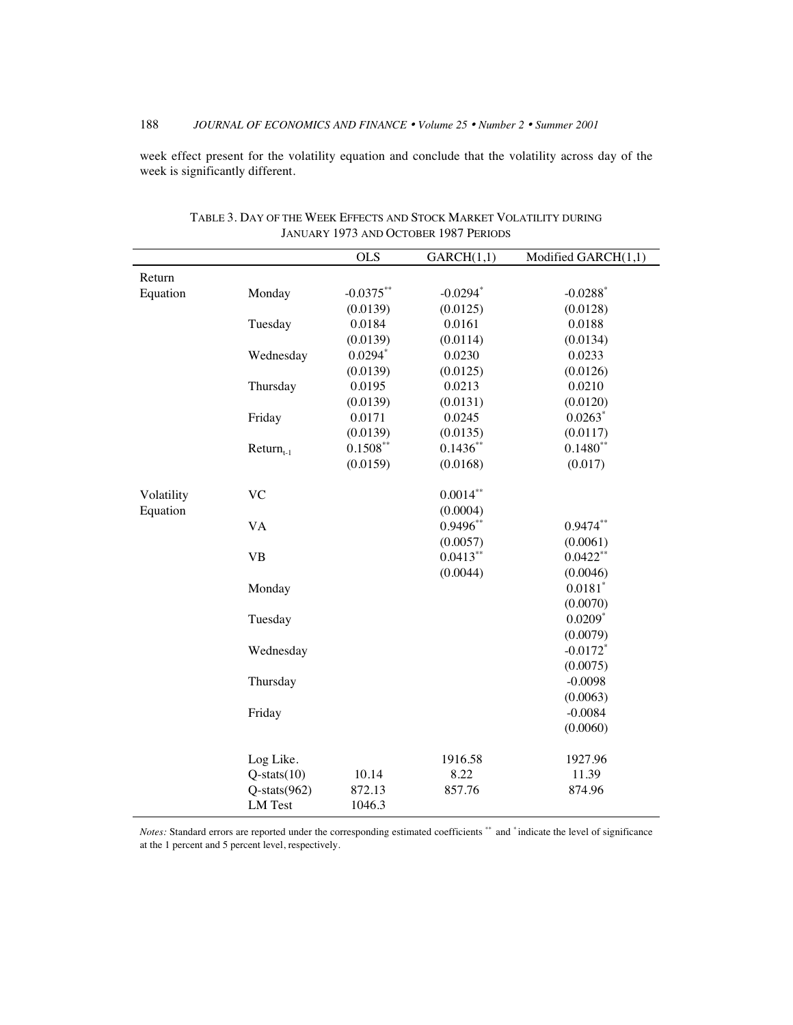# 188 *JOURNAL OF ECONOMICS AND FINANCE* • *Volume 25* • *Number 2* • *Summer 2001*

week effect present for the volatility equation and conclude that the volatility across day of the week is significantly different.

|            |                    | <b>OLS</b>  | GARCH(1,1)  | Modified GARCH(1,1)    |
|------------|--------------------|-------------|-------------|------------------------|
| Return     |                    |             |             |                        |
| Equation   | Monday             | $-0.0375**$ | $-0.0294$ * | $-0.0288$ <sup>*</sup> |
|            |                    | (0.0139)    | (0.0125)    | (0.0128)               |
|            | Tuesday            | 0.0184      | 0.0161      | 0.0188                 |
|            |                    | (0.0139)    | (0.0114)    | (0.0134)               |
|            | Wednesday          | $0.0294*$   | 0.0230      | 0.0233                 |
|            |                    | (0.0139)    | (0.0125)    | (0.0126)               |
|            | Thursday           | 0.0195      | 0.0213      | 0.0210                 |
|            |                    | (0.0139)    | (0.0131)    | (0.0120)               |
|            | Friday             | 0.0171      | 0.0245      | $0.0263$ <sup>*</sup>  |
|            |                    | (0.0139)    | (0.0135)    | (0.0117)               |
|            | $Return_{t-1}$     | $0.1508***$ | $0.1436**$  | $0.1480**$             |
|            |                    | (0.0159)    | (0.0168)    | (0.017)                |
| Volatility | <b>VC</b>          |             | $0.0014***$ |                        |
| Equation   |                    |             | (0.0004)    |                        |
|            | <b>VA</b>          |             | $0.9496**$  | $0.9474**$             |
|            |                    |             | (0.0057)    | (0.0061)               |
|            | <b>VB</b>          |             | $0.0413**$  | $0.0422**$             |
|            |                    |             | (0.0044)    | (0.0046)               |
|            | Monday             |             |             | $0.0181$ <sup>*</sup>  |
|            |                    |             |             | (0.0070)               |
|            | Tuesday            |             |             | $0.0209*$              |
|            |                    |             |             | (0.0079)               |
|            | Wednesday          |             |             | $-0.0172$ <sup>*</sup> |
|            |                    |             |             | (0.0075)               |
|            | Thursday           |             |             | $-0.0098$              |
|            |                    |             |             | (0.0063)               |
|            | Friday             |             |             | $-0.0084$              |
|            |                    |             |             | (0.0060)               |
|            | Log Like.          |             | 1916.58     | 1927.96                |
|            | $Q$ -stats $(10)$  | 10.14       | 8.22        | 11.39                  |
|            | $Q$ -stats $(962)$ | 872.13      | 857.76      | 874.96                 |
|            | <b>LM</b> Test     | 1046.3      |             |                        |

TABLE 3. DAY OF THE WEEK EFFECTS AND STOCK MARKET VOLATILITY DURING JANUARY 1973 AND OCTOBER 1987 PERIODS

*Notes:* Standard errors are reported under the corresponding estimated coefficients \*\* and \* indicate the level of significance at the 1 percent and 5 percent level, respectively.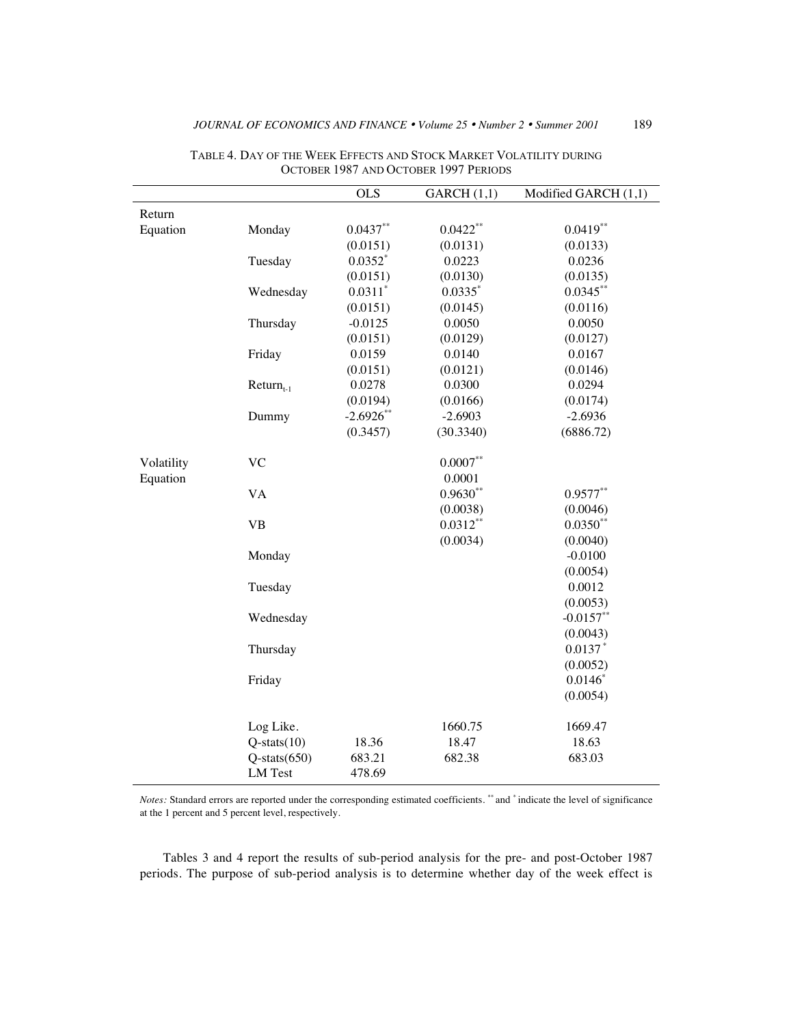|            |                                      | <b>OLS</b>       | GARCH (1,1) | Modified GARCH (1,1) |
|------------|--------------------------------------|------------------|-------------|----------------------|
| Return     |                                      |                  |             |                      |
| Equation   | Monday                               | $0.0437**$       | $0.0422**$  | $0.0419**$           |
|            |                                      | (0.0151)         | (0.0131)    | (0.0133)             |
|            | Tuesday                              | $0.0352*$        | 0.0223      | 0.0236               |
|            |                                      | (0.0151)         | (0.0130)    | (0.0135)             |
|            | Wednesday                            | $0.0311$ *       | $0.0335*$   | $0.0345***$          |
|            |                                      | (0.0151)         | (0.0145)    | (0.0116)             |
|            | Thursday                             | $-0.0125$        | 0.0050      | 0.0050               |
|            |                                      | (0.0151)         | (0.0129)    | (0.0127)             |
|            | Friday                               | 0.0159           | 0.0140      | 0.0167               |
|            |                                      | (0.0151)         | (0.0121)    | (0.0146)             |
|            | $Return_{t-1}$                       | 0.0278           | 0.0300      | 0.0294               |
|            |                                      | (0.0194)         | (0.0166)    | (0.0174)             |
|            | Dummy                                | $-2.6926**$      | $-2.6903$   | $-2.6936$            |
|            |                                      | (0.3457)         | (30.3340)   | (6886.72)            |
| Volatility | <b>VC</b>                            |                  | $0.0007**$  |                      |
| Equation   |                                      |                  | 0.0001      |                      |
|            | <b>VA</b>                            |                  | $0.9630**$  | $0.9577**$           |
|            |                                      |                  | (0.0038)    | (0.0046)             |
|            | <b>VB</b>                            |                  | $0.0312**$  | $0.0350**$           |
|            |                                      |                  | (0.0034)    | (0.0040)             |
|            | Monday                               |                  |             | $-0.0100$            |
|            |                                      |                  |             | (0.0054)             |
|            | Tuesday                              |                  |             | 0.0012               |
|            |                                      |                  |             | (0.0053)             |
|            | Wednesday                            |                  |             | $-0.0157**$          |
|            |                                      |                  |             | (0.0043)             |
|            | Thursday                             |                  |             | $0.0137*$            |
|            |                                      |                  |             | (0.0052)             |
|            | Friday                               |                  |             | $0.0146*$            |
|            |                                      |                  |             | (0.0054)             |
|            | Log Like.                            |                  | 1660.75     | 1669.47              |
|            | $Q$ -stats $(10)$                    | 18.36            | 18.47       | 18.63                |
|            | $Q$ -stats $(650)$<br><b>LM</b> Test | 683.21<br>478.69 | 682.38      | 683.03               |

TABLE 4. DAY OF THE WEEK EFFECTS AND STOCK MARKET VOLATILITY DURING OCTOBER 1987 AND OCTOBER 1997 PERIODS

*Notes:* Standard errors are reported under the corresponding estimated coefficients. \*\* and \* indicate the level of significance at the 1 percent and 5 percent level, respectively.

Tables 3 and 4 report the results of sub-period analysis for the pre- and post-October 1987 periods. The purpose of sub-period analysis is to determine whether day of the week effect is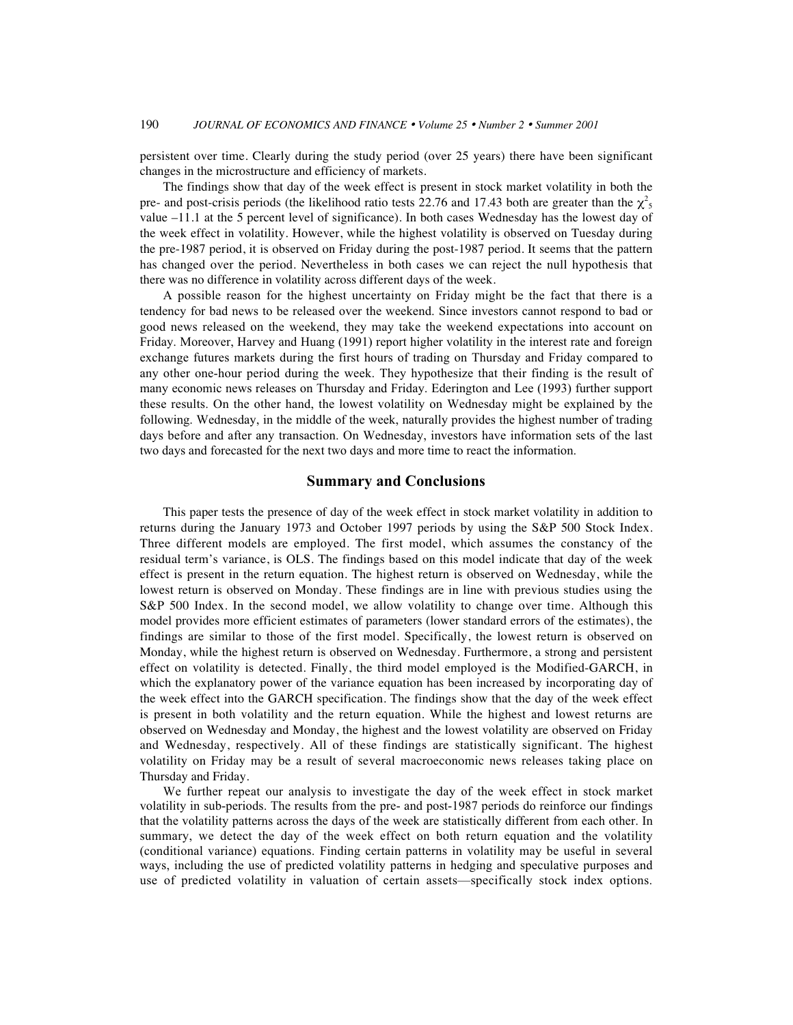persistent over time. Clearly during the study period (over 25 years) there have been significant changes in the microstructure and efficiency of markets.

The findings show that day of the week effect is present in stock market volatility in both the pre- and post-crisis periods (the likelihood ratio tests 22.76 and 17.43 both are greater than the  $\chi^2$ <sub>5</sub> value –11.1 at the 5 percent level of significance). In both cases Wednesday has the lowest day of the week effect in volatility. However, while the highest volatility is observed on Tuesday during the pre-1987 period, it is observed on Friday during the post-1987 period. It seems that the pattern has changed over the period. Nevertheless in both cases we can reject the null hypothesis that there was no difference in volatility across different days of the week.

A possible reason for the highest uncertainty on Friday might be the fact that there is a tendency for bad news to be released over the weekend. Since investors cannot respond to bad or good news released on the weekend, they may take the weekend expectations into account on Friday. Moreover, Harvey and Huang (1991) report higher volatility in the interest rate and foreign exchange futures markets during the first hours of trading on Thursday and Friday compared to any other one-hour period during the week. They hypothesize that their finding is the result of many economic news releases on Thursday and Friday. Ederington and Lee (1993) further support these results. On the other hand, the lowest volatility on Wednesday might be explained by the following. Wednesday, in the middle of the week, naturally provides the highest number of trading days before and after any transaction. On Wednesday, investors have information sets of the last two days and forecasted for the next two days and more time to react the information.

#### **Summary and Conclusions**

This paper tests the presence of day of the week effect in stock market volatility in addition to returns during the January 1973 and October 1997 periods by using the S&P 500 Stock Index. Three different models are employed. The first model, which assumes the constancy of the residual term's variance, is OLS. The findings based on this model indicate that day of the week effect is present in the return equation. The highest return is observed on Wednesday, while the lowest return is observed on Monday. These findings are in line with previous studies using the S&P 500 Index. In the second model, we allow volatility to change over time. Although this model provides more efficient estimates of parameters (lower standard errors of the estimates), the findings are similar to those of the first model. Specifically, the lowest return is observed on Monday, while the highest return is observed on Wednesday. Furthermore, a strong and persistent effect on volatility is detected. Finally, the third model employed is the Modified-GARCH, in which the explanatory power of the variance equation has been increased by incorporating day of the week effect into the GARCH specification. The findings show that the day of the week effect is present in both volatility and the return equation. While the highest and lowest returns are observed on Wednesday and Monday, the highest and the lowest volatility are observed on Friday and Wednesday, respectively. All of these findings are statistically significant. The highest volatility on Friday may be a result of several macroeconomic news releases taking place on Thursday and Friday.

We further repeat our analysis to investigate the day of the week effect in stock market volatility in sub-periods. The results from the pre- and post-1987 periods do reinforce our findings that the volatility patterns across the days of the week are statistically different from each other. In summary, we detect the day of the week effect on both return equation and the volatility (conditional variance) equations. Finding certain patterns in volatility may be useful in several ways, including the use of predicted volatility patterns in hedging and speculative purposes and use of predicted volatility in valuation of certain assets—specifically stock index options.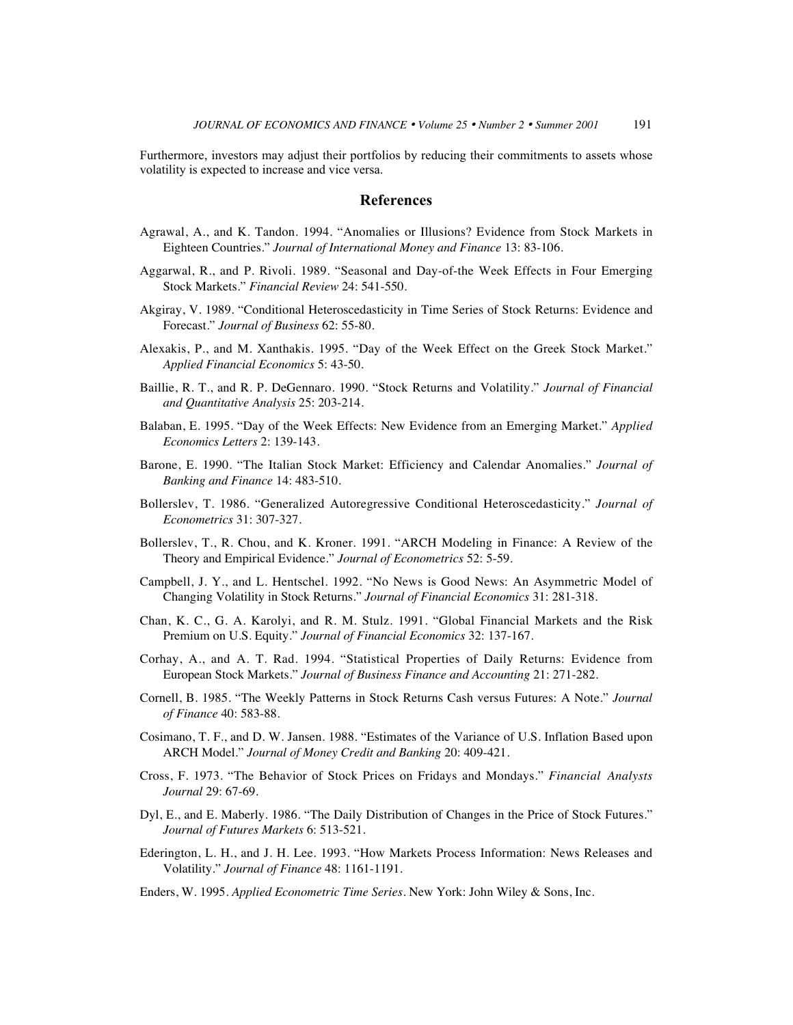Furthermore, investors may adjust their portfolios by reducing their commitments to assets whose volatility is expected to increase and vice versa.

# **References**

- Agrawal, A., and K. Tandon. 1994. "Anomalies or Illusions? Evidence from Stock Markets in Eighteen Countries." *Journal of International Money and Finance* 13: 83-106.
- Aggarwal, R., and P. Rivoli. 1989. "Seasonal and Day-of-the Week Effects in Four Emerging Stock Markets." *Financial Review* 24: 541-550.
- Akgiray, V. 1989. "Conditional Heteroscedasticity in Time Series of Stock Returns: Evidence and Forecast." *Journal of Business* 62: 55-80.
- Alexakis, P., and M. Xanthakis. 1995. "Day of the Week Effect on the Greek Stock Market." *Applied Financial Economics* 5: 43-50.
- Baillie, R. T., and R. P. DeGennaro. 1990. "Stock Returns and Volatility." *Journal of Financial and Quantitative Analysis* 25: 203-214.
- Balaban, E. 1995. "Day of the Week Effects: New Evidence from an Emerging Market." *Applied Economics Letters* 2: 139-143.
- Barone, E. 1990. "The Italian Stock Market: Efficiency and Calendar Anomalies." *Journal of Banking and Finance* 14: 483-510.
- Bollerslev, T. 1986. "Generalized Autoregressive Conditional Heteroscedasticity." *Journal of Econometrics* 31: 307-327.
- Bollerslev, T., R. Chou, and K. Kroner. 1991. "ARCH Modeling in Finance: A Review of the Theory and Empirical Evidence." *Journal of Econometrics* 52: 5-59.
- Campbell, J. Y., and L. Hentschel. 1992. "No News is Good News: An Asymmetric Model of Changing Volatility in Stock Returns." *Journal of Financial Economics* 31: 281-318.
- Chan, K. C., G. A. Karolyi, and R. M. Stulz. 1991. "Global Financial Markets and the Risk Premium on U.S. Equity." *Journal of Financial Economics* 32: 137-167.
- Corhay, A., and A. T. Rad. 1994. "Statistical Properties of Daily Returns: Evidence from European Stock Markets." *Journal of Business Finance and Accounting* 21: 271-282.
- Cornell, B. 1985. "The Weekly Patterns in Stock Returns Cash versus Futures: A Note." *Journal of Finance* 40: 583-88.
- Cosimano, T. F., and D. W. Jansen. 1988. "Estimates of the Variance of U.S. Inflation Based upon ARCH Model." *Journal of Money Credit and Banking* 20: 409-421.
- Cross, F. 1973. "The Behavior of Stock Prices on Fridays and Mondays." *Financial Analysts Journal* 29: 67-69.
- Dyl, E., and E. Maberly. 1986. "The Daily Distribution of Changes in the Price of Stock Futures." *Journal of Futures Markets* 6: 513-521.
- Ederington, L. H., and J. H. Lee. 1993. "How Markets Process Information: News Releases and Volatility." *Journal of Finance* 48: 1161-1191.
- Enders, W. 1995. *Applied Econometric Time Series.* New York: John Wiley & Sons, Inc.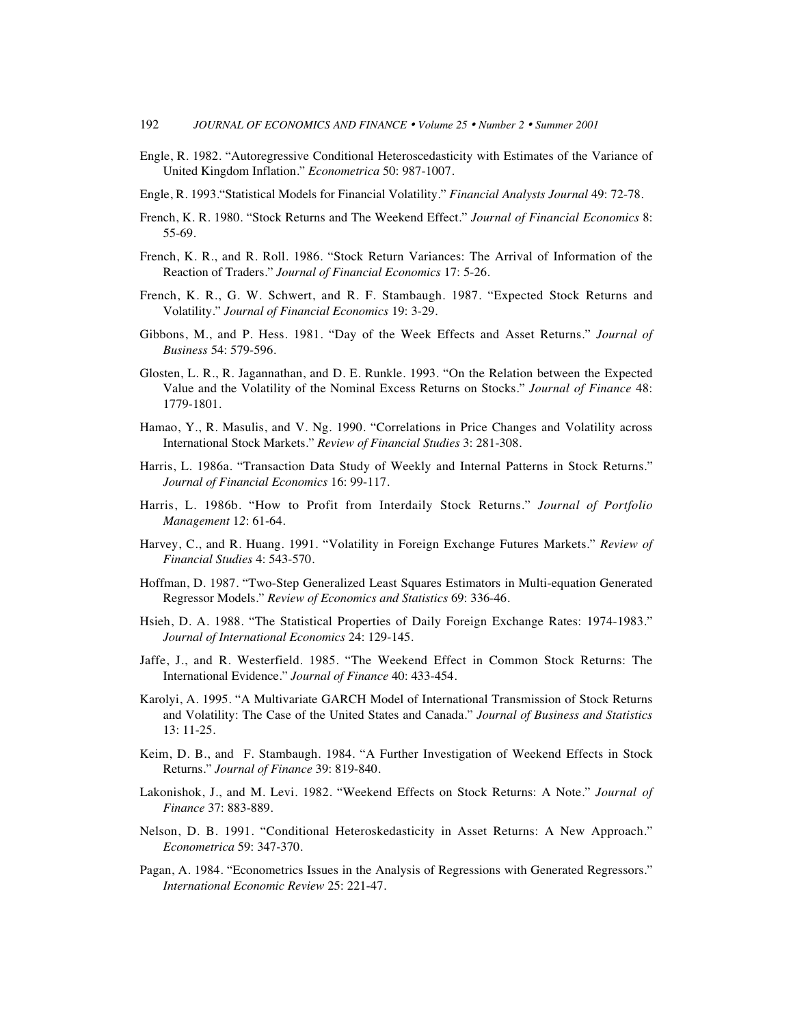- Engle, R. 1982. "Autoregressive Conditional Heteroscedasticity with Estimates of the Variance of United Kingdom Inflation." *Econometrica* 50: 987-1007.
- Engle, R. 1993."Statistical Models for Financial Volatility." *Financial Analysts Journal* 49: 72-78.
- French, K. R. 1980. "Stock Returns and The Weekend Effect." *Journal of Financial Economics* 8: 55-69.
- French, K. R., and R. Roll. 1986. "Stock Return Variances: The Arrival of Information of the Reaction of Traders." *Journal of Financial Economics* 17: 5-26.
- French, K. R., G. W. Schwert, and R. F. Stambaugh. 1987. "Expected Stock Returns and Volatility." *Journal of Financial Economics* 19: 3-29.
- Gibbons, M., and P. Hess. 1981. "Day of the Week Effects and Asset Returns." *Journal of Business* 54: 579-596.
- Glosten, L. R., R. Jagannathan, and D. E. Runkle. 1993. "On the Relation between the Expected Value and the Volatility of the Nominal Excess Returns on Stocks." *Journal of Finance* 48: 1779-1801.
- Hamao, Y., R. Masulis, and V. Ng. 1990. "Correlations in Price Changes and Volatility across International Stock Markets." *Review of Financial Studies* 3: 281-308.
- Harris, L. 1986a. "Transaction Data Study of Weekly and Internal Patterns in Stock Returns." *Journal of Financial Economics* 16: 99-117.
- Harris, L. 1986b. "How to Profit from Interdaily Stock Returns." *Journal of Portfolio Management* 1*2*: 61-64.
- Harvey, C., and R. Huang. 1991. "Volatility in Foreign Exchange Futures Markets." *Review of Financial Studies* 4: 543-570.
- Hoffman, D. 1987. "Two-Step Generalized Least Squares Estimators in Multi-equation Generated Regressor Models." *Review of Economics and Statistics* 69: 336-46.
- Hsieh, D. A. 1988. "The Statistical Properties of Daily Foreign Exchange Rates: 1974-1983." *Journal of International Economics* 24: 129-145.
- Jaffe, J., and R. Westerfield. 1985. "The Weekend Effect in Common Stock Returns: The International Evidence." *Journal of Finance* 40: 433-454.
- Karolyi, A. 1995. "A Multivariate GARCH Model of International Transmission of Stock Returns and Volatility: The Case of the United States and Canada." *Journal of Business and Statistics* 13: 11-25.
- Keim, D. B., and F. Stambaugh. 1984. "A Further Investigation of Weekend Effects in Stock Returns." *Journal of Finance* 39: 819-840.
- Lakonishok, J., and M. Levi. 1982. "Weekend Effects on Stock Returns: A Note." *Journal of Finance* 37: 883-889.
- Nelson, D. B. 1991. "Conditional Heteroskedasticity in Asset Returns: A New Approach." *Econometrica* 59: 347-370.
- Pagan, A. 1984. "Econometrics Issues in the Analysis of Regressions with Generated Regressors." *International Economic Review* 25: 221-47.